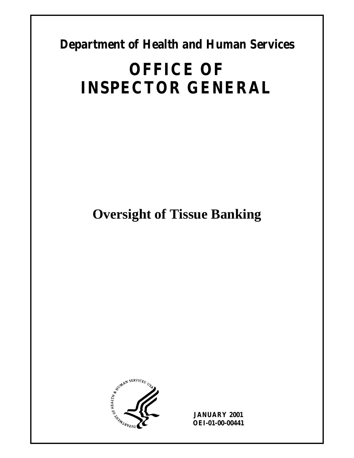**Department of Health and Human Services** 

# **OFFICE OF INSPECTOR GENERAL**

**Oversight of Tissue Banking** 



**JANUARY 2001 OEI-01-00-00441**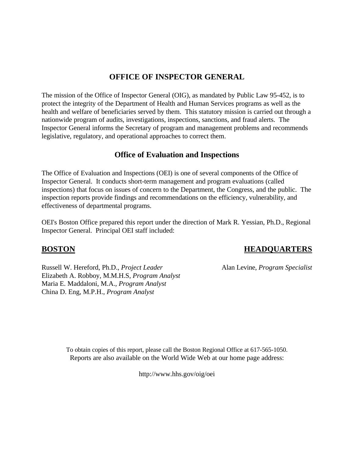# **OFFICE OF INSPECTOR GENERAL**

The mission of the Office of Inspector General (OIG), as mandated by Public Law 95-452, is to protect the integrity of the Department of Health and Human Services programs as well as the health and welfare of beneficiaries served by them. This statutory mission is carried out through a nationwide program of audits, investigations, inspections, sanctions, and fraud alerts. The Inspector General informs the Secretary of program and management problems and recommends legislative, regulatory, and operational approaches to correct them.

### **Office of Evaluation and Inspections**

The Office of Evaluation and Inspections (OEI) is one of several components of the Office of Inspector General. It conducts short-term management and program evaluations (called inspections) that focus on issues of concern to the Department, the Congress, and the public. The inspection reports provide findings and recommendations on the efficiency, vulnerability, and effectiveness of departmental programs.

OEI's Boston Office prepared this report under the direction of Mark R. Yessian, Ph.D., Regional Inspector General. Principal OEI staff included:

Russell W. Hereford, Ph.D., *Project Leader* Alan Levine, *Program Specialist* Elizabeth A. Robboy, M.M.H.S, *Program Analyst* Maria E. Maddaloni, M.A., *Program Analyst* China D. Eng, M.P.H., *Program Analyst*

# **BOSTON HEADQUARTERS**

To obtain copies of this report, please call the Boston Regional Office at 617-565-1050. Reports are also available on the World Wide Web at our home page address:

http://www.hhs.gov/oig/oei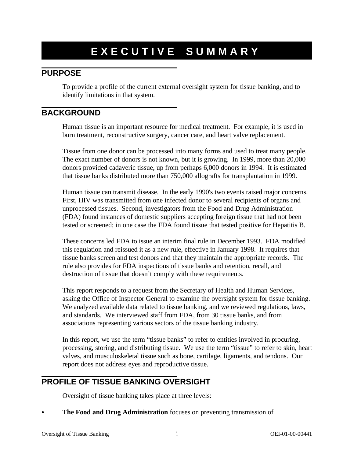# **EXECUTIVE SUMMARY**

# **PURPOSE**

To provide a profile of the current external oversight system for tissue banking, and to identify limitations in that system.

# **BACKGROUND**

Human tissue is an important resource for medical treatment. For example, it is used in burn treatment, reconstructive surgery, cancer care, and heart valve replacement.

Tissue from one donor can be processed into many forms and used to treat many people. The exact number of donors is not known, but it is growing. In 1999, more than 20,000 donors provided cadaveric tissue, up from perhaps 6,000 donors in 1994. It is estimated that tissue banks distributed more than 750,000 allografts for transplantation in 1999.

Human tissue can transmit disease. In the early 1990's two events raised major concerns. First, HIV was transmitted from one infected donor to several recipients of organs and unprocessed tissues. Second, investigators from the Food and Drug Administration (FDA) found instances of domestic suppliers accepting foreign tissue that had not been tested or screened; in one case the FDA found tissue that tested positive for Hepatitis B.

These concerns led FDA to issue an interim final rule in December 1993. FDA modified this regulation and reissued it as a new rule, effective in January 1998. It requires that tissue banks screen and test donors and that they maintain the appropriate records. The rule also provides for FDA inspections of tissue banks and retention, recall, and destruction of tissue that doesn't comply with these requirements.

This report responds to a request from the Secretary of Health and Human Services, asking the Office of Inspector General to examine the oversight system for tissue banking. We analyzed available data related to tissue banking, and we reviewed regulations, laws, and standards. We interviewed staff from FDA, from 30 tissue banks, and from associations representing various sectors of the tissue banking industry.

In this report, we use the term "tissue banks" to refer to entities involved in procuring, processing, storing, and distributing tissue. We use the term "tissue" to refer to skin, heart valves, and musculoskeletal tissue such as bone, cartilage, ligaments, and tendons. Our report does not address eyes and reproductive tissue.

# **PROFILE OF TISSUE BANKING OVERSIGHT**

Oversight of tissue banking takes place at three levels:

The Food and Drug Administration focuses on preventing transmission of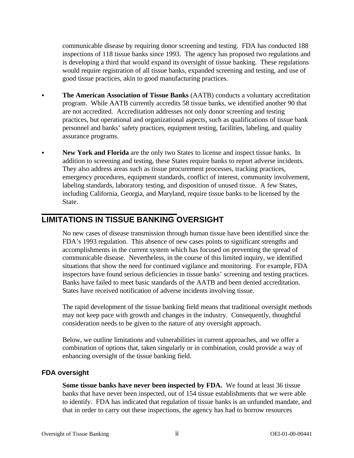communicable disease by requiring donor screening and testing. FDA has conducted 188 inspections of 118 tissue banks since 1993. The agency has proposed two regulations and is developing a third that would expand its oversight of tissue banking. These regulations would require registration of all tissue banks, expanded screening and testing, and use of good tissue practices, akin to good manufacturing practices.

- **The American Association of Tissue Banks** (AATB) conducts a voluntary accreditation program. While AATB currently accredits 58 tissue banks, we identified another 90 that are not accredited. Accreditation addresses not only donor screening and testing practices, but operational and organizational aspects, such as qualifications of tissue bank personnel and banks' safety practices, equipment testing, facilities, labeling, and quality assurance programs.
- New York and Florida are the only two States to license and inspect tissue banks. In addition to screening and testing, these States require banks to report adverse incidents. They also address areas such as tissue procurement processes, tracking practices, emergency procedures, equipment standards, conflict of interest, community involvement, labeling standards, laboratory testing, and disposition of unused tissue. A few States, including California, Georgia, and Maryland, require tissue banks to be licensed by the State.

# **LIMITATIONS IN TISSUE BANKING OVERSIGHT**

No new cases of disease transmission through human tissue have been identified since the FDA's 1993 regulation. This absence of new cases points to significant strengths and accomplishments in the current system which has focused on preventing the spread of communicable disease. Nevertheless, in the course of this limited inquiry, we identified situations that show the need for continued vigilance and monitoring. For example, FDA inspectors have found serious deficiencies in tissue banks' screening and testing practices. Banks have failed to meet basic standards of the AATB and been denied accreditation. States have received notification of adverse incidents involving tissue.

The rapid development of the tissue banking field means that traditional oversight methods may not keep pace with growth and changes in the industry. Consequently, thoughtful consideration needs to be given to the nature of any oversight approach.

Below, we outline limitations and vulnerabilities in current approaches, and we offer a combination of options that, taken singularly or in combination, could provide a way of enhancing oversight of the tissue banking field.

#### **FDA oversight**

**Some tissue banks have never been inspected by FDA.** We found at least 36 tissue banks that have never been inspected, out of 154 tissue establishments that we were able to identify. FDA has indicated that regulation of tissue banks is an unfunded mandate, and that in order to carry out these inspections, the agency has had to borrow resources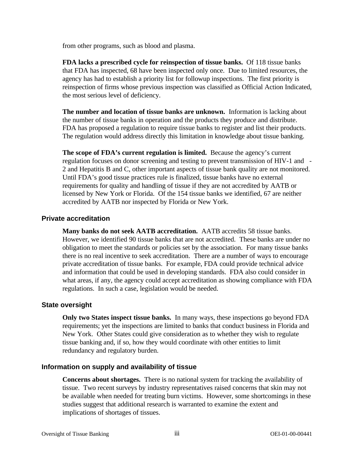from other programs, such as blood and plasma.

**FDA lacks a prescribed cycle for reinspection of tissue banks.** Of 118 tissue banks that FDA has inspected, 68 have been inspected only once. Due to limited resources, the agency has had to establish a priority list for followup inspections. The first priority is reinspection of firms whose previous inspection was classified as Official Action Indicated, the most serious level of deficiency.

**The number and location of tissue banks are unknown.** Information is lacking about the number of tissue banks in operation and the products they produce and distribute. FDA has proposed a regulation to require tissue banks to register and list their products. The regulation would address directly this limitation in knowledge about tissue banking.

**The scope of FDA's current regulation is limited.** Because the agency's current regulation focuses on donor screening and testing to prevent transmission of HIV-1 and - 2 and Hepatitis B and C, other important aspects of tissue bank quality are not monitored. Until FDA's good tissue practices rule is finalized, tissue banks have no external requirements for quality and handling of tissue if they are not accredited by AATB or licensed by New York or Florida. Of the 154 tissue banks we identified, 67 are neither accredited by AATB nor inspected by Florida or New York.

#### **Private accreditation**

**Many banks do not seek AATB accreditation.** AATB accredits 58 tissue banks. However, we identified 90 tissue banks that are not accredited. These banks are under no obligation to meet the standards or policies set by the association. For many tissue banks there is no real incentive to seek accreditation. There are a number of ways to encourage private accreditation of tissue banks. For example, FDA could provide technical advice and information that could be used in developing standards. FDA also could consider in what areas, if any, the agency could accept accreditation as showing compliance with FDA regulations. In such a case, legislation would be needed.

#### **State oversight**

**Only two States inspect tissue banks.** In many ways, these inspections go beyond FDA requirements; yet the inspections are limited to banks that conduct business in Florida and New York. Other States could give consideration as to whether they wish to regulate tissue banking and, if so, how they would coordinate with other entities to limit redundancy and regulatory burden.

#### **Information on supply and availability of tissue**

**Concerns about shortages.** There is no national system for tracking the availability of tissue. Two recent surveys by industry representatives raised concerns that skin may not be available when needed for treating burn victims. However, some shortcomings in these studies suggest that additional research is warranted to examine the extent and implications of shortages of tissues.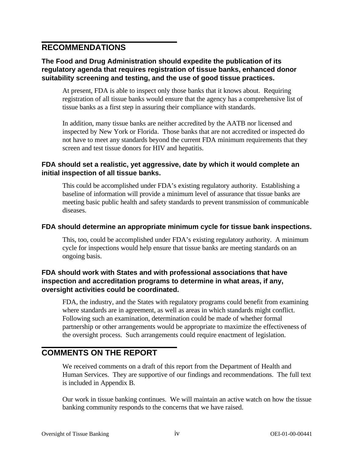# **RECOMMENDATIONS**

### **The Food and Drug Administration should expedite the publication of its regulatory agenda that requires registration of tissue banks, enhanced donor suitability screening and testing, and the use of good tissue practices.**

At present, FDA is able to inspect only those banks that it knows about. Requiring registration of all tissue banks would ensure that the agency has a comprehensive list of tissue banks as a first step in assuring their compliance with standards.

In addition, many tissue banks are neither accredited by the AATB nor licensed and inspected by New York or Florida. Those banks that are not accredited or inspected do not have to meet any standards beyond the current FDA minimum requirements that they screen and test tissue donors for HIV and hepatitis.

#### **FDA should set a realistic, yet aggressive, date by which it would complete an initial inspection of all tissue banks.**

This could be accomplished under FDA's existing regulatory authority. Establishing a baseline of information will provide a minimum level of assurance that tissue banks are meeting basic public health and safety standards to prevent transmission of communicable diseases.

#### **FDA should determine an appropriate minimum cycle for tissue bank inspections.**

This, too, could be accomplished under FDA's existing regulatory authority. A minimum cycle for inspections would help ensure that tissue banks are meeting standards on an ongoing basis.

### **FDA should work with States and with professional associations that have inspection and accreditation programs to determine in what areas, if any, oversight activities could be coordinated.**

FDA, the industry, and the States with regulatory programs could benefit from examining where standards are in agreement, as well as areas in which standards might conflict. Following such an examination, determination could be made of whether formal partnership or other arrangements would be appropriate to maximize the effectiveness of the oversight process. Such arrangements could require enactment of legislation.

# **COMMENTS ON THE REPORT**

We received comments on a draft of this report from the Department of Health and Human Services. They are supportive of our findings and recommendations. The full text is included in Appendix B.

Our work in tissue banking continues. We will maintain an active watch on how the tissue banking community responds to the concerns that we have raised.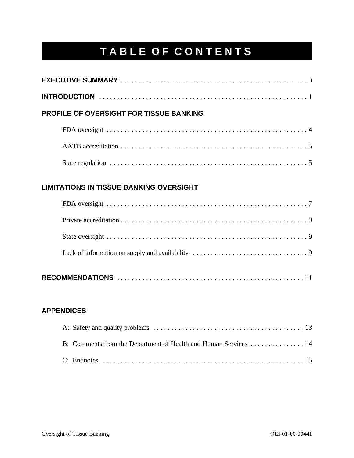# **TABLE OF CONTENTS**

| <b>PROFILE OF OVERSIGHT FOR TISSUE BANKING</b> |                                                |  |  |  |
|------------------------------------------------|------------------------------------------------|--|--|--|
|                                                |                                                |  |  |  |
|                                                |                                                |  |  |  |
|                                                |                                                |  |  |  |
|                                                | <b>LIMITATIONS IN TISSUE BANKING OVERSIGHT</b> |  |  |  |
|                                                |                                                |  |  |  |

#### **APPENDICES**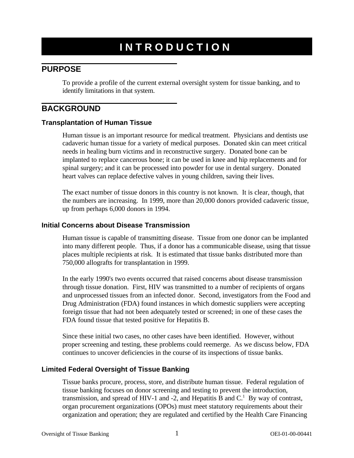# **INTRODUCTION**

# **PURPOSE**

To provide a profile of the current external oversight system for tissue banking, and to identify limitations in that system.

# **BACKGROUND**

#### **Transplantation of Human Tissue**

Human tissue is an important resource for medical treatment. Physicians and dentists use cadaveric human tissue for a variety of medical purposes. Donated skin can meet critical needs in healing burn victims and in reconstructive surgery. Donated bone can be implanted to replace cancerous bone; it can be used in knee and hip replacements and for spinal surgery; and it can be processed into powder for use in dental surgery. Donated heart valves can replace defective valves in young children, saving their lives.

The exact number of tissue donors in this country is not known. It is clear, though, that the numbers are increasing. In 1999, more than 20,000 donors provided cadaveric tissue, up from perhaps 6,000 donors in 1994.

#### **Initial Concerns about Disease Transmission**

Human tissue is capable of transmitting disease. Tissue from one donor can be implanted into many different people. Thus, if a donor has a communicable disease, using that tissue places multiple recipients at risk. It is estimated that tissue banks distributed more than 750,000 allografts for transplantation in 1999.

In the early 1990's two events occurred that raised concerns about disease transmission through tissue donation. First, HIV was transmitted to a number of recipients of organs and unprocessed tissues from an infected donor. Second, investigators from the Food and Drug Administration (FDA) found instances in which domestic suppliers were accepting foreign tissue that had not been adequately tested or screened; in one of these cases the FDA found tissue that tested positive for Hepatitis B.

Since these initial two cases, no other cases have been identified. However, without proper screening and testing, these problems could reemerge. As we discuss below, FDA continues to uncover deficiencies in the course of its inspections of tissue banks.

#### **Limited Federal Oversight of Tissue Banking**

Tissue banks procure, process, store, and distribute human tissue. Federal regulation of tissue banking focuses on donor screening and testing to prevent the introduction, transmission, and spread of HIV-1 and -2, and Hepatitis B and  $C<sup>1</sup>$  By way of contrast, organ procurement organizations (OPOs) must meet statutory requirements about their organization and operation; they are regulated and certified by the Health Care Financing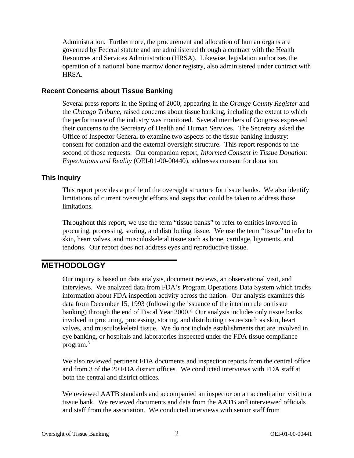Administration. Furthermore, the procurement and allocation of human organs are governed by Federal statute and are administered through a contract with the Health Resources and Services Administration (HRSA). Likewise, legislation authorizes the operation of a national bone marrow donor registry, also administered under contract with HRSA.

#### **Recent Concerns about Tissue Banking**

Several press reports in the Spring of 2000, appearing in the *Orange County Register* and the *Chicago Tribune,* raised concerns about tissue banking, including the extent to which the performance of the industry was monitored. Several members of Congress expressed their concerns to the Secretary of Health and Human Services. The Secretary asked the Office of Inspector General to examine two aspects of the tissue banking industry: consent for donation and the external oversight structure. This report responds to the second of those requests. Our companion report, *Informed Consent in Tissue Donation: Expectations and Reality* (OEI-01-00-00440), addresses consent for donation.

### **This Inquiry**

This report provides a profile of the oversight structure for tissue banks. We also identify limitations of current oversight efforts and steps that could be taken to address those limitations.

Throughout this report, we use the term "tissue banks" to refer to entities involved in procuring, processing, storing, and distributing tissue. We use the term "tissue" to refer to skin, heart valves, and musculoskeletal tissue such as bone, cartilage, ligaments, and tendons. Our report does not address eyes and reproductive tissue.

# **METHODOLOGY**

Our inquiry is based on data analysis, document reviews, an observational visit, and interviews. We analyzed data from FDA's Program Operations Data System which tracks information about FDA inspection activity across the nation. Our analysis examines this data from December 15, 1993 (following the issuance of the interim rule on tissue banking) through the end of Fiscal Year  $2000<sup>2</sup>$  Our analysis includes only tissue banks involved in procuring, processing, storing, and distributing tissues such as skin, heart valves, and musculoskeletal tissue. We do not include establishments that are involved in eye banking, or hospitals and laboratories inspected under the FDA tissue compliance program.3

We also reviewed pertinent FDA documents and inspection reports from the central office and from 3 of the 20 FDA district offices. We conducted interviews with FDA staff at both the central and district offices.

We reviewed AATB standards and accompanied an inspector on an accreditation visit to a tissue bank. We reviewed documents and data from the AATB and interviewed officials and staff from the association. We conducted interviews with senior staff from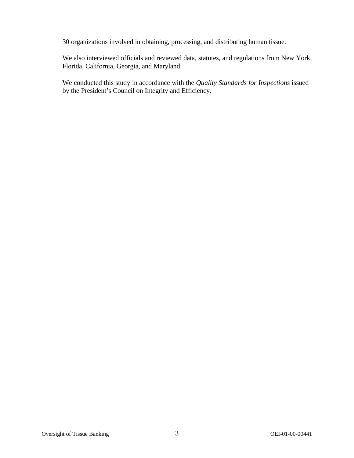30 organizations involved in obtaining, processing, and distributing human tissue.

We also interviewed officials and reviewed data, statutes, and regulations from New York, Florida, California, Georgia, and Maryland.

We conducted this study in accordance with the *Quality Standards for Inspections* issued by the President's Council on Integrity and Efficiency.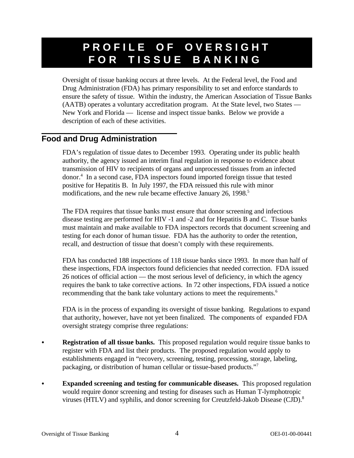# **PROFILE OF OVERSIGHT FOR TISSUE BANKING**

Oversight of tissue banking occurs at three levels. At the Federal level, the Food and Drug Administration (FDA) has primary responsibility to set and enforce standards to ensure the safety of tissue. Within the industry, the American Association of Tissue Banks (AATB) operates a voluntary accreditation program. At the State level, two States — New York and Florida — license and inspect tissue banks. Below we provide a description of each of these activities.

# **Food and Drug Administration**

FDA's regulation of tissue dates to December 1993. Operating under its public health authority, the agency issued an interim final regulation in response to evidence about transmission of HIV to recipients of organs and unprocessed tissues from an infected donor.4 In a second case, FDA inspectors found imported foreign tissue that tested positive for Hepatitis B. In July 1997, the FDA reissued this rule with minor modifications, and the new rule became effective January 26, 1998.<sup>5</sup>

The FDA requires that tissue banks must ensure that donor screening and infectious disease testing are performed for HIV -1 and -2 and for Hepatitis B and C. Tissue banks must maintain and make available to FDA inspectors records that document screening and testing for each donor of human tissue. FDA has the authority to order the retention, recall, and destruction of tissue that doesn't comply with these requirements.

FDA has conducted 188 inspections of 118 tissue banks since 1993. In more than half of these inspections, FDA inspectors found deficiencies that needed correction. FDA issued 26 notices of official action — the most serious level of deficiency, in which the agency requires the bank to take corrective actions. In 72 other inspections, FDA issued a notice recommending that the bank take voluntary actions to meet the requirements.<sup>6</sup>

FDA is in the process of expanding its oversight of tissue banking. Regulations to expand that authority, however, have not yet been finalized. The components of expanded FDA oversight strategy comprise three regulations:

- **Registration of all tissue banks.** This proposed regulation would require tissue banks to register with FDA and list their products. The proposed regulation would apply to establishments engaged in "recovery, screening, testing, processing, storage, labeling, packaging, or distribution of human cellular or tissue-based products."7
- **Expanded screening and testing for communicable diseases.** This proposed regulation would require donor screening and testing for diseases such as Human T-lymphotropic viruses (HTLV) and syphilis, and donor screening for Creutzfeld-Jakob Disease (CJD).8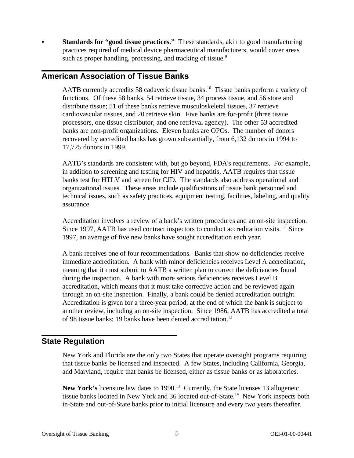Standards for "good tissue practices." These standards, akin to good manufacturing practices required of medical device pharmaceutical manufacturers, would cover areas such as proper handling, processing, and tracking of tissue.<sup>9</sup>

# **American Association of Tissue Banks**

AATB currently accredits 58 cadaveric tissue banks.<sup>10</sup> Tissue banks perform a variety of functions. Of these 58 banks, 54 retrieve tissue, 34 process tissue, and 56 store and distribute tissue; 51 of these banks retrieve musculoskeletal tissues, 37 retrieve cardiovascular tissues, and 20 retrieve skin. Five banks are for-profit (three tissue processors, one tissue distributor, and one retrieval agency). The other 53 accredited banks are non-profit organizations. Eleven banks are OPOs. The number of donors recovered by accredited banks has grown substantially, from 6,132 donors in 1994 to 17,725 donors in 1999.

AATB's standards are consistent with, but go beyond, FDA's requirements. For example, in addition to screening and testing for HIV and hepatitis, AATB requires that tissue banks test for HTLV and screen for CJD. The standards also address operational and organizational issues. These areas include qualifications of tissue bank personnel and technical issues, such as safety practices, equipment testing, facilities, labeling, and quality assurance.

Accreditation involves a review of a bank's written procedures and an on-site inspection. Since 1997, AATB has used contract inspectors to conduct accreditation visits.<sup>11</sup> Since 1997, an average of five new banks have sought accreditation each year.

A bank receives one of four recommendations. Banks that show no deficiencies receive immediate accreditation. A bank with minor deficiencies receives Level A accreditation, meaning that it must submit to AATB a written plan to correct the deficiencies found during the inspection. A bank with more serious deficiencies receives Level B accreditation, which means that it must take corrective action and be reviewed again through an on-site inspection. Finally, a bank could be denied accreditation outright. Accreditation is given for a three-year period, at the end of which the bank is subject to another review, including an on-site inspection. Since 1986, AATB has accredited a total of 98 tissue banks; 19 banks have been denied accreditation.<sup>12</sup>

# **State Regulation**

New York and Florida are the only two States that operate oversight programs requiring that tissue banks be licensed and inspected. A few States, including California, Georgia, and Maryland, require that banks be licensed, either as tissue banks or as laboratories.

New York's licensure law dates to 1990.<sup>13</sup> Currently, the State licenses 13 allogeneic tissue banks located in New York and 36 located out-of-State.14 New York inspects both in-State and out-of-State banks prior to initial licensure and every two years thereafter.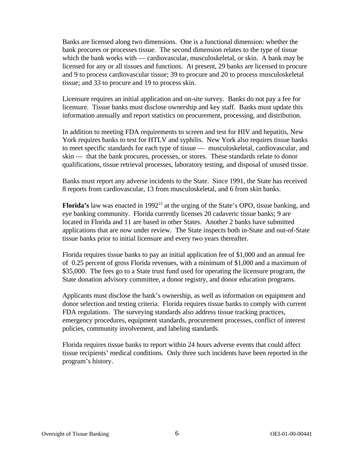Banks are licensed along two dimensions. One is a functional dimension: whether the bank procures or processes tissue. The second dimension relates to the type of tissue which the bank works with — cardiovascular, musculoskeletal, or skin. A bank may be licensed for any or all tissues and functions. At present, 29 banks are licensed to procure and 9 to process cardiovascular tissue; 39 to procure and 20 to process musculoskeletal tissue; and 33 to procure and 19 to process skin.

Licensure requires an initial application and on-site survey. Banks do not pay a fee for licensure. Tissue banks must disclose ownership and key staff. Banks must update this information annually and report statistics on procurement, processing, and distribution.

In addition to meeting FDA requirements to screen and test for HIV and hepatitis, New York requires banks to test for HTLV and syphilis. New York also requires tissue banks to meet specific standards for each type of tissue — musculoskeletal, cardiovascular, and skin — that the bank procures, processes, or stores. These standards relate to donor qualifications, tissue retrieval processes, laboratory testing, and disposal of unused tissue.

Banks must report any adverse incidents to the State. Since 1991, the State has received 8 reports from cardiovascular, 13 from musculoskeletal, and 6 from skin banks.

**Florida's** law was enacted in 1992<sup>15</sup> at the urging of the State's OPO, tissue banking, and eye banking community. Florida currently licenses 20 cadaveric tissue banks; 9 are located in Florida and 11 are based in other States. Another 2 banks have submitted applications that are now under review. The State inspects both in-State and out-of-State tissue banks prior to initial licensure and every two years thereafter.

Florida requires tissue banks to pay an initial application fee of \$1,000 and an annual fee of 0.25 percent of gross Florida revenues, with a minimum of \$1,000 and a maximum of \$35,000. The fees go to a State trust fund used for operating the licensure program, the State donation advisory committee, a donor registry, and donor education programs.

Applicants must disclose the bank's ownership, as well as information on equipment and donor selection and testing criteria. Florida requires tissue banks to comply with current FDA regulations. The surveying standards also address tissue tracking practices, emergency procedures, equipment standards, procurement processes, conflict of interest policies, community involvement, and labeling standards.

Florida requires tissue banks to report within 24 hours adverse events that could affect tissue recipients' medical conditions. Only three such incidents have been reported in the program's history.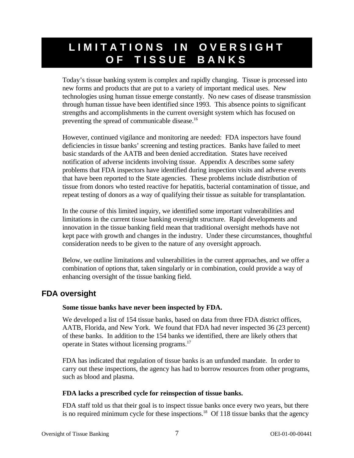# **LIMITATIONS IN OVERSIGHT OF TISSUE BANKS**

Today's tissue banking system is complex and rapidly changing. Tissue is processed into new forms and products that are put to a variety of important medical uses. New technologies using human tissue emerge constantly. No new cases of disease transmission through human tissue have been identified since 1993. This absence points to significant strengths and accomplishments in the current oversight system which has focused on preventing the spread of communicable disease.<sup>16</sup>

However, continued vigilance and monitoring are needed: FDA inspectors have found deficiencies in tissue banks' screening and testing practices. Banks have failed to meet basic standards of the AATB and been denied accreditation. States have received notification of adverse incidents involving tissue. Appendix A describes some safety problems that FDA inspectors have identified during inspection visits and adverse events that have been reported to the State agencies. These problems include distribution of tissue from donors who tested reactive for hepatitis, bacterial contamination of tissue, and repeat testing of donors as a way of qualifying their tissue as suitable for transplantation.

In the course of this limited inquiry, we identified some important vulnerabilities and limitations in the current tissue banking oversight structure. Rapid developments and innovation in the tissue banking field mean that traditional oversight methods have not kept pace with growth and changes in the industry. Under these circumstances, thoughtful consideration needs to be given to the nature of any oversight approach.

Below, we outline limitations and vulnerabilities in the current approaches, and we offer a combination of options that, taken singularly or in combination, could provide a way of enhancing oversight of the tissue banking field.

# **FDA oversight**

#### **Some tissue banks have never been inspected by FDA.**

We developed a list of 154 tissue banks, based on data from three FDA district offices, AATB, Florida, and New York. We found that FDA had never inspected 36 (23 percent) of these banks. In addition to the 154 banks we identified, there are likely others that operate in States without licensing programs.17

FDA has indicated that regulation of tissue banks is an unfunded mandate. In order to carry out these inspections, the agency has had to borrow resources from other programs, such as blood and plasma.

#### **FDA lacks a prescribed cycle for reinspection of tissue banks.**

FDA staff told us that their goal is to inspect tissue banks once every two years, but there is no required minimum cycle for these inspections.<sup>18</sup> Of 118 tissue banks that the agency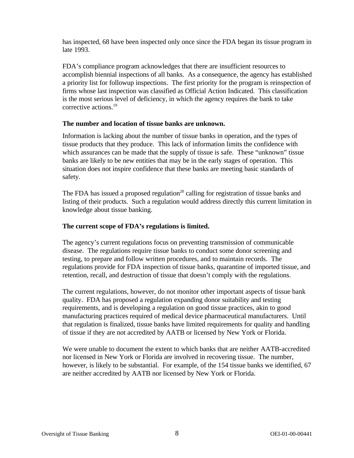has inspected, 68 have been inspected only once since the FDA began its tissue program in late 1993.

FDA's compliance program acknowledges that there are insufficient resources to accomplish biennial inspections of all banks. As a consequence, the agency has established a priority list for followup inspections. The first priority for the program is reinspection of firms whose last inspection was classified as Official Action Indicated. This classification is the most serious level of deficiency, in which the agency requires the bank to take corrective actions.<sup>19</sup>

#### **The number and location of tissue banks are unknown.**

Information is lacking about the number of tissue banks in operation, and the types of tissue products that they produce. This lack of information limits the confidence with which assurances can be made that the supply of tissue is safe. These "unknown" tissue banks are likely to be new entities that may be in the early stages of operation. This situation does not inspire confidence that these banks are meeting basic standards of safety.

The FDA has issued a proposed regulation<sup>20</sup> calling for registration of tissue banks and listing of their products. Such a regulation would address directly this current limitation in knowledge about tissue banking.

#### **The current scope of FDA's regulations is limited.**

The agency's current regulations focus on preventing transmission of communicable disease. The regulations require tissue banks to conduct some donor screening and testing, to prepare and follow written procedures, and to maintain records. The regulations provide for FDA inspection of tissue banks, quarantine of imported tissue, and retention, recall, and destruction of tissue that doesn't comply with the regulations.

The current regulations, however, do not monitor other important aspects of tissue bank quality. FDA has proposed a regulation expanding donor suitability and testing requirements, and is developing a regulation on good tissue practices, akin to good manufacturing practices required of medical device pharmaceutical manufacturers. Until that regulation is finalized, tissue banks have limited requirements for quality and handling of tissue if they are not accredited by AATB or licensed by New York or Florida.

We were unable to document the extent to which banks that are neither AATB-accredited nor licensed in New York or Florida are involved in recovering tissue. The number, however, is likely to be substantial. For example, of the 154 tissue banks we identified, 67 are neither accredited by AATB nor licensed by New York or Florida.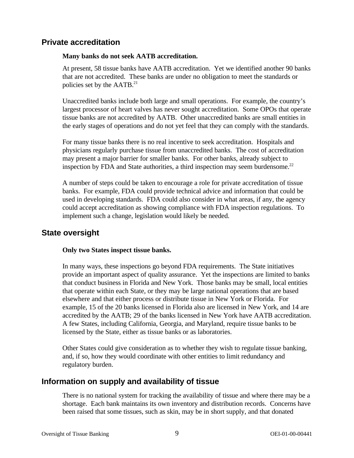# **Private accreditation**

#### **Many banks do not seek AATB accreditation.**

At present, 58 tissue banks have AATB accreditation. Yet we identified another 90 banks that are not accredited. These banks are under no obligation to meet the standards or policies set by the AATB.<sup>21</sup>

Unaccredited banks include both large and small operations. For example, the country's largest processor of heart valves has never sought accreditation. Some OPOs that operate tissue banks are not accredited by AATB. Other unaccredited banks are small entities in the early stages of operations and do not yet feel that they can comply with the standards.

For many tissue banks there is no real incentive to seek accreditation. Hospitals and physicians regularly purchase tissue from unaccredited banks. The cost of accreditation may present a major barrier for smaller banks. For other banks, already subject to inspection by FDA and State authorities, a third inspection may seem burdensome.<sup>22</sup>

A number of steps could be taken to encourage a role for private accreditation of tissue banks. For example, FDA could provide technical advice and information that could be used in developing standards. FDA could also consider in what areas, if any, the agency could accept accreditation as showing compliance with FDA inspection regulations. To implement such a change, legislation would likely be needed.

# **State oversight**

#### **Only two States inspect tissue banks.**

In many ways, these inspections go beyond FDA requirements. The State initiatives provide an important aspect of quality assurance. Yet the inspections are limited to banks that conduct business in Florida and New York. Those banks may be small, local entities that operate within each State, or they may be large national operations that are based elsewhere and that either process or distribute tissue in New York or Florida. For example, 15 of the 20 banks licensed in Florida also are licensed in New York, and 14 are accredited by the AATB; 29 of the banks licensed in New York have AATB accreditation. A few States, including California, Georgia, and Maryland, require tissue banks to be licensed by the State, either as tissue banks or as laboratories.

Other States could give consideration as to whether they wish to regulate tissue banking, and, if so, how they would coordinate with other entities to limit redundancy and regulatory burden.

# **Information on supply and availability of tissue**

There is no national system for tracking the availability of tissue and where there may be a shortage. Each bank maintains its own inventory and distribution records. Concerns have been raised that some tissues, such as skin, may be in short supply, and that donated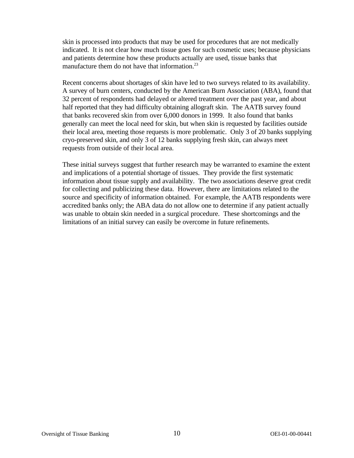skin is processed into products that may be used for procedures that are not medically indicated. It is not clear how much tissue goes for such cosmetic uses; because physicians and patients determine how these products actually are used, tissue banks that manufacture them do not have that information. $^{23}$ 

Recent concerns about shortages of skin have led to two surveys related to its availability. A survey of burn centers, conducted by the American Burn Association (ABA), found that 32 percent of respondents had delayed or altered treatment over the past year, and about half reported that they had difficulty obtaining allograft skin. The AATB survey found that banks recovered skin from over 6,000 donors in 1999. It also found that banks generally can meet the local need for skin, but when skin is requested by facilities outside their local area, meeting those requests is more problematic. Only 3 of 20 banks supplying cryo-preserved skin, and only 3 of 12 banks supplying fresh skin, can always meet requests from outside of their local area.

These initial surveys suggest that further research may be warranted to examine the extent and implications of a potential shortage of tissues. They provide the first systematic information about tissue supply and availability. The two associations deserve great credit for collecting and publicizing these data. However, there are limitations related to the source and specificity of information obtained. For example, the AATB respondents were accredited banks only; the ABA data do not allow one to determine if any patient actually was unable to obtain skin needed in a surgical procedure. These shortcomings and the limitations of an initial survey can easily be overcome in future refinements.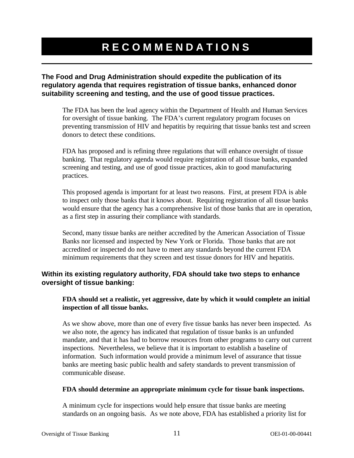# **RECOMMENDATIONS**

**The Food and Drug Administration should expedite the publication of its regulatory agenda that requires registration of tissue banks, enhanced donor suitability screening and testing, and the use of good tissue practices.** 

The FDA has been the lead agency within the Department of Health and Human Services for oversight of tissue banking. The FDA's current regulatory program focuses on preventing transmission of HIV and hepatitis by requiring that tissue banks test and screen donors to detect these conditions.

FDA has proposed and is refining three regulations that will enhance oversight of tissue banking. That regulatory agenda would require registration of all tissue banks, expanded screening and testing, and use of good tissue practices, akin to good manufacturing practices.

This proposed agenda is important for at least two reasons. First, at present FDA is able to inspect only those banks that it knows about. Requiring registration of all tissue banks would ensure that the agency has a comprehensive list of those banks that are in operation, as a first step in assuring their compliance with standards.

Second, many tissue banks are neither accredited by the American Association of Tissue Banks nor licensed and inspected by New York or Florida. Those banks that are not accredited or inspected do not have to meet any standards beyond the current FDA minimum requirements that they screen and test tissue donors for HIV and hepatitis.

### **Within its existing regulatory authority, FDA should take two steps to enhance oversight of tissue banking:**

#### **FDA should set a realistic, yet aggressive, date by which it would complete an initial inspection of all tissue banks.**

As we show above, more than one of every five tissue banks has never been inspected. As we also note, the agency has indicated that regulation of tissue banks is an unfunded mandate, and that it has had to borrow resources from other programs to carry out current inspections. Nevertheless, we believe that it is important to establish a baseline of information. Such information would provide a minimum level of assurance that tissue banks are meeting basic public health and safety standards to prevent transmission of communicable disease.

#### **FDA should determine an appropriate minimum cycle for tissue bank inspections.**

A minimum cycle for inspections would help ensure that tissue banks are meeting standards on an ongoing basis. As we note above, FDA has established a priority list for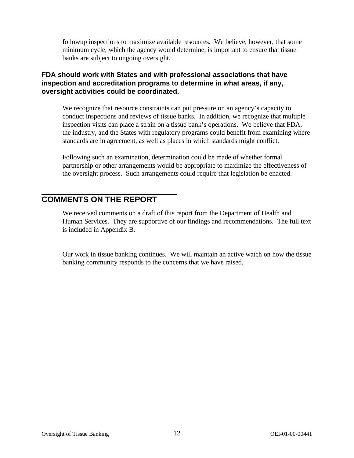followup inspections to maximize available resources. We believe, however, that some minimum cycle, which the agency would determine, is important to ensure that tissue banks are subject to ongoing oversight.

### **FDA should work with States and with professional associations that have inspection and accreditation programs to determine in what areas, if any, oversight activities could be coordinated.**

We recognize that resource constraints can put pressure on an agency's capacity to conduct inspections and reviews of tissue banks. In addition, we recognize that multiple inspection visits can place a strain on a tissue bank's operations. We believe that FDA, the industry, and the States with regulatory programs could benefit from examining where standards are in agreement, as well as places in which standards might conflict.

Following such an examination, determination could be made of whether formal partnership or other arrangements would be appropriate to maximize the effectiveness of the oversight process. Such arrangements could require that legislation be enacted.

# **COMMENTS ON THE REPORT**

We received comments on a draft of this report from the Department of Health and Human Services. They are supportive of our findings and recommendations. The full text is included in Appendix B.

Our work in tissue banking continues. We will maintain an active watch on how the tissue banking community responds to the concerns that we have raised.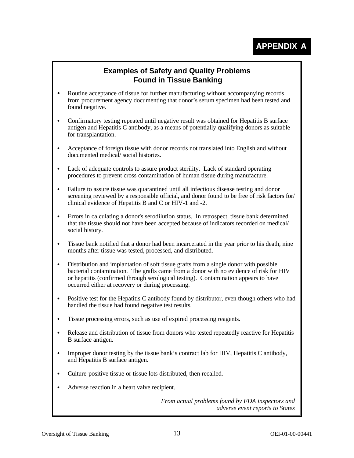# **Examples of Safety and Quality Problems Found in Tissue Banking**

- Routine acceptance of tissue for further manufacturing without accompanying records from procurement agency documenting that donor's serum specimen had been tested and found negative.
- C Confirmatory testing repeated until negative result was obtained for Hepatitis B surface antigen and Hepatitis C antibody, as a means of potentially qualifying donors as suitable for transplantation.
- Acceptance of foreign tissue with donor records not translated into English and without documented medical/ social histories.
- Lack of adequate controls to assure product sterility. Lack of standard operating procedures to prevent cross contamination of human tissue during manufacture.
- Failure to assure tissue was quarantined until all infectious disease testing and donor screening reviewed by a responsible official, and donor found to be free of risk factors for/ clinical evidence of Hepatitis B and C or HIV-1 and -2.
- Errors in calculating a donor's serodilution status. In retrospect, tissue bank determined that the tissue should not have been accepted because of indicators recorded on medical/ social history.
- Tissue bank notified that a donor had been incarcerated in the year prior to his death, nine months after tissue was tested, processed, and distributed.
- Distribution and implantation of soft tissue grafts from a single donor with possible bacterial contamination. The grafts came from a donor with no evidence of risk for HIV or hepatitis (confirmed through serological testing). Contamination appears to have occurred either at recovery or during processing.
- Positive test for the Hepatitis C antibody found by distributor, even though others who had handled the tissue had found negative test results.
- Tissue processing errors, such as use of expired processing reagents.
- Release and distribution of tissue from donors who tested repeatedly reactive for Hepatitis B surface antigen.
- Improper donor testing by the tissue bank's contract lab for HIV, Hepatitis C antibody, and Hepatitis B surface antigen.
- Culture-positive tissue or tissue lots distributed, then recalled.
- Adverse reaction in a heart valve recipient.

*From actual problems found by FDA inspectors and adverse event reports to States*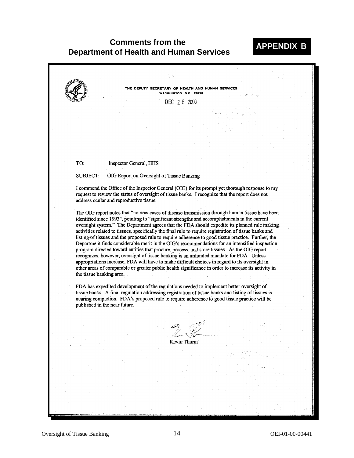### **Comments from the Department of Health and Human Services APPENDIX B**

HE DEPUTY SECRETARY OF HEALTH AND HUMAN SERVICES WASHINGTON, D.C. 20201 DEC 2 6 2000 **Inspector General, HHS** TO: **SUBJECT:** OIG Report on Oversight of Tissue Banking I commend the Office of the Inspector General (OIG) for its prompt yet thorough response to my request to review the status of oversight of tissue banks. I recognize that the report does not address ocular and reproductive tissue. The OIG report notes that "no new cases of disease transmission through human tissue have been identified since 1993", pointing to "significant strengths and accomplishments in the current oversight system." The Department agrees that the FDA should expedite its planned rule making activities related to tissues, specifically the final rule to require registration of tissue banks and listing of tissues and the proposed rule to require adherence to good tissue practice. Further, the Department finds considerable merit in the OIG's recommendations for an intensified inspection program directed toward entities that procure, process, and store tissues. As the OIG report recognizes, however, oversight of tissue banking is an unfunded mandate for FDA. Unless appropriations increase, FDA will have to make difficult choices in regard to its oversight in other areas of comparable or greater public health significance in order to increase its activity in the tissue banking area. FDA has expedited development of the regulations needed to implement better oversight of tissue banks. A final regulation addressing registration of tissue banks and listing of tissues is nearing completion. FDA's proposed rule to require adherence to good tissue practice will be published in the near future. Kevin Thurm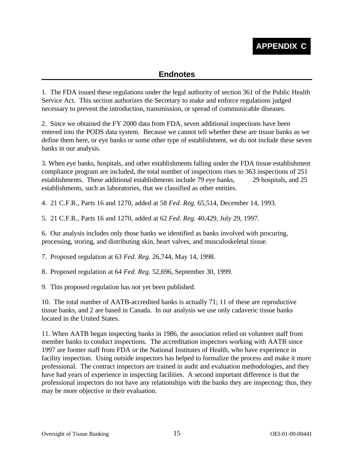# **Endnotes**

1. The FDA issued these regulations under the legal authority of section 361 of the Public Health Service Act. This section authorizes the Secretary to make and enforce regulations judged necessary to prevent the introduction, transmission, or spread of communicable diseases.

2. Since we obtained the FY 2000 data from FDA, seven additional inspections have been entered into the PODS data system. Because we cannot tell whether these are tissue banks as we define them here, or eye banks or some other type of establishment, we do not include these seven banks in our analysis.

3. When eye banks, hospitals, and other establishments falling under the FDA tissue establishment compliance program are included, the total number of inspections rises to 363 inspections of 251 establishments. These additional establishments include 79 eye banks, 29 hospitals, and 25 establishments, such as laboratories, that we classified as other entities.

4. 21 C.F.R., Parts 16 and 1270, added at 58 *Fed. Reg.* 65,514, December 14, 1993.

5. 21 C.F.R., Parts 16 and 1270, added at 62 *Fed. Reg.* 40,429, July 29, 1997.

6. Our analysis includes only those banks we identified as banks involved with procuring, processing, storing, and distributing skin, heart valves, and musculoskeletal tissue.

7. Proposed regulation at 63 *Fed. Reg.* 26,744, May 14, 1998.

8. Proposed regulation at 64 *Fed. Reg.* 52,696, September 30, 1999.

9. This proposed regulation has not yet been published.

10. The total number of AATB-accredited banks is actually 71; 11 of these are reproductive tissue banks, and 2 are based in Canada. In our analysis we use only cadaveric tissue banks located in the United States.

11. When AATB began inspecting banks in 1986, the association relied on volunteer staff from member banks to conduct inspections. The accreditation inspectors working with AATB since 1997 are former staff from FDA or the National Institutes of Health, who have experience in facility inspection. Using outside inspectors has helped to formalize the process and make it more professional. The contract inspectors are trained in audit and evaluation methodologies, and they have had years of experience in inspecting facilities. A second important difference is that the professional inspectors do not have any relationships with the banks they are inspecting; thus, they may be more objective in their evaluation.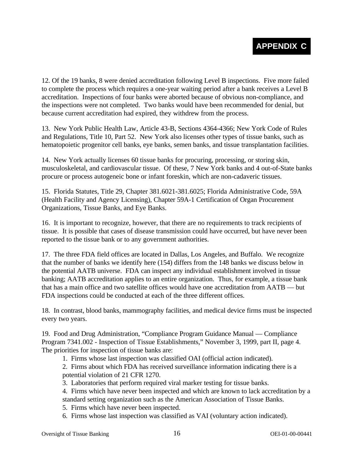12. Of the 19 banks, 8 were denied accreditation following Level B inspections. Five more failed to complete the process which requires a one-year waiting period after a bank receives a Level B accreditation. Inspections of four banks were aborted because of obvious non-compliance, and the inspections were not completed. Two banks would have been recommended for denial, but because current accreditation had expired, they withdrew from the process.

13. New York Public Health Law, Article 43-B, Sections 4364-4366; New York Code of Rules and Regulations, Title 10, Part 52. New York also licenses other types of tissue banks, such as hematopoietic progenitor cell banks, eye banks, semen banks, and tissue transplantation facilities.

14. New York actually licenses 60 tissue banks for procuring, processing, or storing skin, musculoskeletal, and cardiovascular tissue. Of these, 7 New York banks and 4 out-of-State banks procure or process autogeneic bone or infant foreskin, which are non-cadaveric tissues.

15. Florida Statutes, Title 29, Chapter 381.6021-381.6025; Florida Administrative Code, 59A (Health Facility and Agency Licensing), Chapter 59A-1 Certification of Organ Procurement Organizations, Tissue Banks, and Eye Banks.

16. It is important to recognize, however, that there are no requirements to track recipients of tissue. It is possible that cases of disease transmission could have occurred, but have never been reported to the tissue bank or to any government authorities.

17. The three FDA field offices are located in Dallas, Los Angeles, and Buffalo. We recognize that the number of banks we identify here (154) differs from the 148 banks we discuss below in the potential AATB universe. FDA can inspect any individual establishment involved in tissue banking; AATB accreditation applies to an entire organization. Thus, for example, a tissue bank that has a main office and two satellite offices would have one accreditation from AATB — but FDA inspections could be conducted at each of the three different offices.

18. In contrast, blood banks, mammography facilities, and medical device firms must be inspected every two years.

19. Food and Drug Administration, "Compliance Program Guidance Manual — Compliance Program 7341.002 - Inspection of Tissue Establishments," November 3, 1999, part II, page 4. The priorities for inspection of tissue banks are:

1. Firms whose last inspection was classified OAI (official action indicated).

2. Firms about which FDA has received surveillance information indicating there is a potential violation of 21 CFR 1270.

3. Laboratories that perform required viral marker testing for tissue banks.

4. Firms which have never been inspected and which are known to lack accreditation by a

standard setting organization such as the American Association of Tissue Banks.

5. Firms which have never been inspected.

6. Firms whose last inspection was classified as VAI (voluntary action indicated).